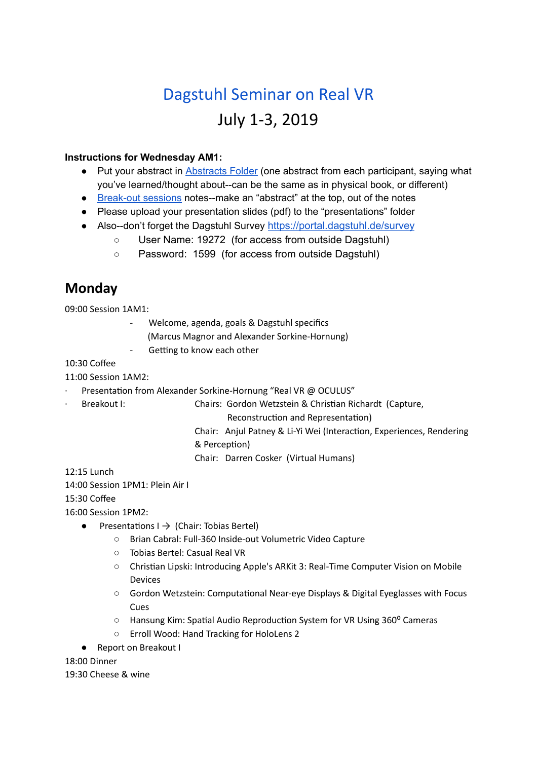# Dagstuhl Seminar on Real VR July 1-3, 2019

#### **Instructions for Wednesday AM1:**

- Put your abstract in **Abstracts Folder** (one abstract from each participant, saying what you've learned/thought about--can be the same as in physical book, or different)
- Break-out sessions notes--make an "abstract" at the top, out of the notes
- Please upload your presentation slides (pdf) to the "presentations" folder
- Also--don't forget the Dagstuhl Survey https://portal.dagstuhl.de/survey
	- User Name: 19272 (for access from outside Dagstuhl)
	- Password: 1599 (for access from outside Dagstuhl)

### **Monday**

09:00 Session 1AM1:

- Welcome, agenda, goals & Dagstuhl specifics
	- (Marcus Magnor and Alexander Sorkine-Hornung)
- Getting to know each other

#### 10:30 Coffee

#### 11:00 Session 1AM2:

- Presentation from Alexander Sorkine-Hornung "Real VR @ OCULUS"
- Breakout I: Chairs: Gordon Wetzstein & Christian Richardt (Capture,
	- Reconstruction and Representation)
	- Chair: Anjul Patney & Li-Yi Wei (Interaction, Experiences, Rendering & Perception)

Chair: Darren Cosker (Virtual Humans)

12:15 Lunch

14:00 Session 1PM1: Plein Air I

15:30 Coffee

16:00 Session 1PM2:

- Presentations  $I \rightarrow$  (Chair: Tobias Bertel)
	- Brian Cabral: Full-360 Inside-out Volumetric Video Capture
	- Tobias Bertel: Casual Real VR
	- Christian Lipski: Introducing Apple's ARKit 3: Real-Time Computer Vision on Mobile Devices
	- Gordon Wetzstein: Computational Near-eye Displays & Digital Eyeglasses with Focus Cues
	- Hansung Kim: Spatial Audio Reproduction System for VR Using 360° Cameras
	- Erroll Wood: Hand Tracking for HoloLens 2
- **Report on Breakout I**

18:00 Dinner

19:30 Cheese & wine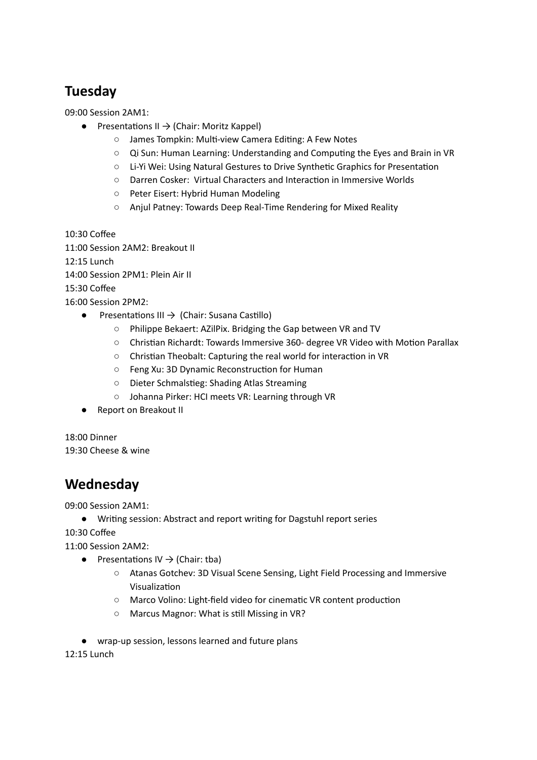## **Tuesday**

09:00 Session 2AM1:

- $\bullet$  Presentations II  $\rightarrow$  (Chair: Moritz Kappel)
	- James Tompkin: Multi-view Camera Editing: A Few Notes
	- Qi Sun: Human Learning: Understanding and Computing the Eyes and Brain in VR
	- Li-Yi Wei: Using Natural Gestures to Drive Synthetic Graphics for Presentation
	- Darren Cosker: Virtual Characters and Interaction in Immersive Worlds
	- Peter Eisert: Hybrid Human Modeling
	- Anjul Patney: Towards Deep Real-Time Rendering for Mixed Reality

10:30 Coffee

11:00 Session 2AM2: Breakout II

12:15 Lunch

14:00 Session 2PM1: Plein Air II

15:30 Coffee

16:00 Session 2PM2:

- $\bullet$  Presentations III  $\rightarrow$  (Chair: Susana Castillo)
	- Philippe Bekaert: AZilPix. Bridging the Gap between VR and TV
	- Christian Richardt: Towards Immersive 360- degree VR Video with Motion Parallax
	- Christian Theobalt: Capturing the real world for interaction in VR
	- Feng Xu: 3D Dynamic Reconstruction for Human
	- Dieter Schmalstieg: Shading Atlas Streaming
	- Johanna Pirker: HCI meets VR: Learning through VR
- Report on Breakout II

18:00 Dinner

19:30 Cheese & wine

### **Wednesday**

09:00 Session 2AM1:

● Wring session: Abstract and report wring for Dagstuhl report series

10:30 Coffee

11:00 Session 2AM2:

- Presentations IV  $\rightarrow$  (Chair: tba)
	- Atanas Gotchev: 3D Visual Scene Sensing, Light Field Processing and Immersive Visualization
	- Marco Volino: Light-field video for cinematic VR content production
	- Marcus Magnor: What is still Missing in VR?
- wrap-up session, lessons learned and future plans

12:15 Lunch